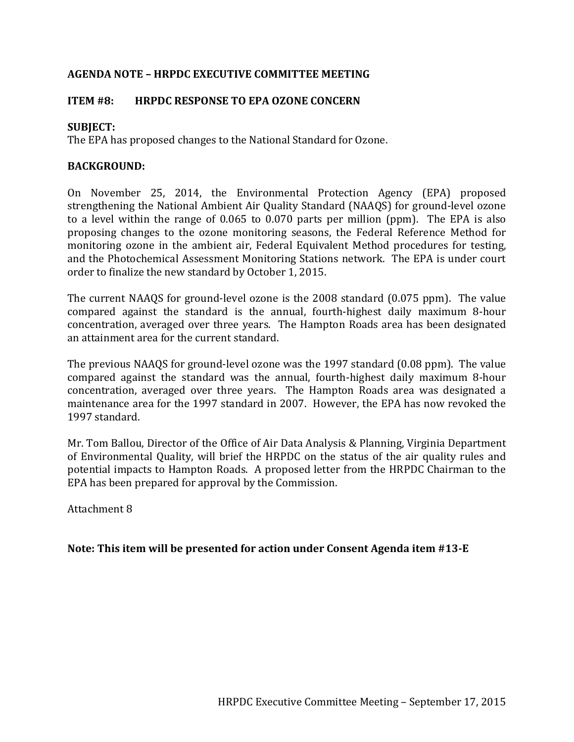## **AGENDA NOTE – HRPDC EXECUTIVE COMMITTEE MEETING**

## **ITEM #8: HRPDC RESPONSE TO EPA OZONE CONCERN**

## **SUBJECT:**

The EPA has proposed changes to the National Standard for Ozone.

## **BACKGROUND:**

On November 25, 2014, the Environmental Protection Agency (EPA) proposed strengthening the National Ambient Air Quality Standard (NAAQS) for ground-level ozone to a level within the range of 0.065 to 0.070 parts per million (ppm). The EPA is also proposing changes to the ozone monitoring seasons, the Federal Reference Method for monitoring ozone in the ambient air, Federal Equivalent Method procedures for testing, and the Photochemical Assessment Monitoring Stations network. The EPA is under court order to finalize the new standard by October 1, 2015.

The current NAAQS for ground-level ozone is the 2008 standard (0.075 ppm). The value compared against the standard is the annual, fourth-highest daily maximum 8-hour concentration, averaged over three years. The Hampton Roads area has been designated an attainment area for the current standard.

The previous NAAQS for ground-level ozone was the 1997 standard (0.08 ppm). The value compared against the standard was the annual, fourth-highest daily maximum 8-hour concentration, averaged over three years. The Hampton Roads area was designated a maintenance area for the 1997 standard in 2007. However, the EPA has now revoked the 1997 standard.

Mr. Tom Ballou, Director of the Office of Air Data Analysis & Planning, Virginia Department of Environmental Quality, will brief the HRPDC on the status of the air quality rules and potential impacts to Hampton Roads. A proposed letter from the HRPDC Chairman to the EPA has been prepared for approval by the Commission.

Attachment 8

**Note: This item will be presented for action under Consent Agenda item #13-E**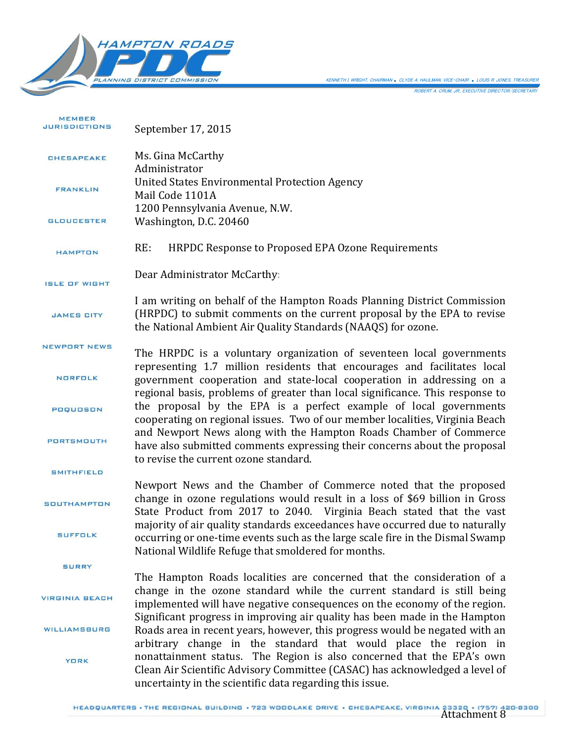



MEMBER **JURISDICTIONS** September 17, 2015 Ms. Gina McCarthy CHESAPEAKE Administrator United States Environmental Protection Agency FRANKLIN Mail Code 1101A 1200 Pennsylvania Avenue, N.W. **GLOUCESTER** Washington, D.C. 20460 RE: HRPDC Response to Proposed EPA Ozone Requirements HAMPTON Dear Administrator McCarthy: ISLE OF WIGHT I am writing on behalf of the Hampton Roads Planning District Commission (HRPDC) to submit comments on the current proposal by the EPA to revise **JAMES CITY** the National Ambient Air Quality Standards (NAAQS) for ozone. NEWPORT NEWS The HRPDC is a voluntary organization of seventeen local governments representing 1.7 million residents that encourages and facilitates local NORFOLK government cooperation and state-local cooperation in addressing on a regional basis, problems of greater than local significance. This response to the proposal by the EPA is a perfect example of local governments POQUOSON cooperating on regional issues. Two of our member localities, Virginia Beach and Newport News along with the Hampton Roads Chamber of Commerce PORTSMOUTH have also submitted comments expressing their concerns about the proposal to revise the current ozone standard. **SMITHFIELD** Newport News and the Chamber of Commerce noted that the proposed change in ozone regulations would result in a loss of \$69 billion in Gross **SOUTHAMPTON** State Product from 2017 to 2040. Virginia Beach stated that the vast majority of air quality standards exceedances have occurred due to naturally **SUFFOLK** occurring or one-time events such as the large scale fire in the Dismal Swamp National Wildlife Refuge that smoldered for months. **SURRY** The Hampton Roads localities are concerned that the consideration of a change in the ozone standard while the current standard is still being **VIRGINIA BEACH** implemented will have negative consequences on the economy of the region. Significant progress in improving air quality has been made in the Hampton **WILLIAMSBURG** Roads area in recent years, however, this progress would be negated with an arbitrary change in the standard that would place the region in nonattainment status. The Region is also concerned that the EPA's own **YORK** Clean Air Scientific Advisory Committee (CASAC) has acknowledged a level of uncertainty in the scientific data regarding this issue.